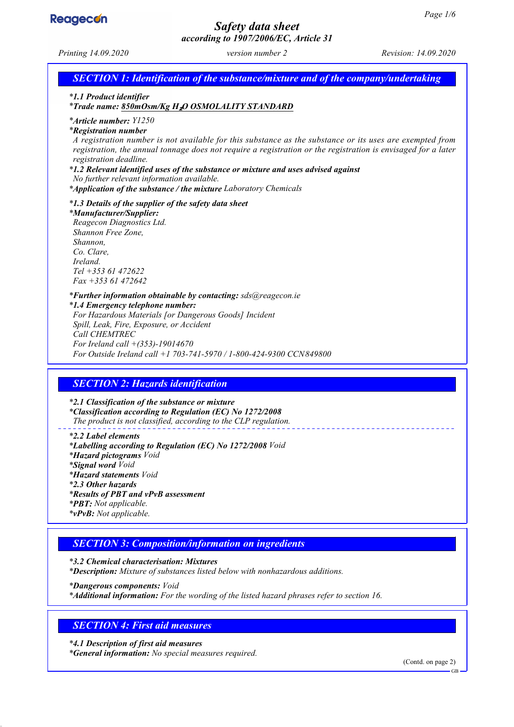

# *Safety data sheet according to 1907/2006/EC, Article 31*

*Printing 14.09.2020 version number 2 Revision: 14.09.2020 SECTION 1: Identification of the substance/mixture and of the company/undertaking \* 1.1 Product identifier \* Trade name: 850mOsm/Kg H*₂*O OSMOLALITY STANDARD \* Article number: Y1250 \* Registration number A registration number is not available for this substance as the substance or its uses are exempted from registration, the annual tonnage does not require a registration or the registration is envisaged for a later registration deadline. \* 1.2 Relevant identified uses of the substance or mixture and uses advised against No further relevant information available. \* Application of the substance / the mixture Laboratory Chemicals \* 1.3 Details of the supplier of the safety data sheet \* Manufacturer/Supplier: Reagecon Diagnostics Ltd. Shannon Free Zone, Shannon, Co. Clare, Ireland. Tel +353 61 472622 Fax +353 61 472642 \* Further information obtainable by contacting: sds@reagecon.ie \* 1.4 Emergency telephone number: For Hazardous Materials [or Dangerous Goods] Incident Spill, Leak, Fire, Exposure, or Accident Call CHEMTREC For Ireland call +(353)-19014670 For Outside Ireland call +1 703-741-5970 / 1-800-424-9300 CCN849800 SECTION 2: Hazards identification \* 2.1 Classification of the substance or mixture \* Classification according to Regulation (EC) No 1272/2008 The product is not classified, according to the CLP regulation. \* 2.2 Label elements \* Labelling according to Regulation (EC) No 1272/2008 Void \* Hazard pictograms Void \* Signal word Void \* Hazard statements Void \* 2.3 Other hazards \* Results of PBT and vPvB assessment \* PBT: Not applicable. \* vPvB: Not applicable.*

# *SECTION 3: Composition/information on ingredients*

*\* 3.2 Chemical characterisation: Mixtures \* Description: Mixture of substances listed below with nonhazardous additions. \* Dangerous components: Void*

*\* Additional information: For the wording of the listed hazard phrases refer to section 16.*

# *SECTION 4: First aid measures*

*\* 4.1 Description of first aid measures \* General information: No special measures required.*

(Contd. on page 2)

 $CD$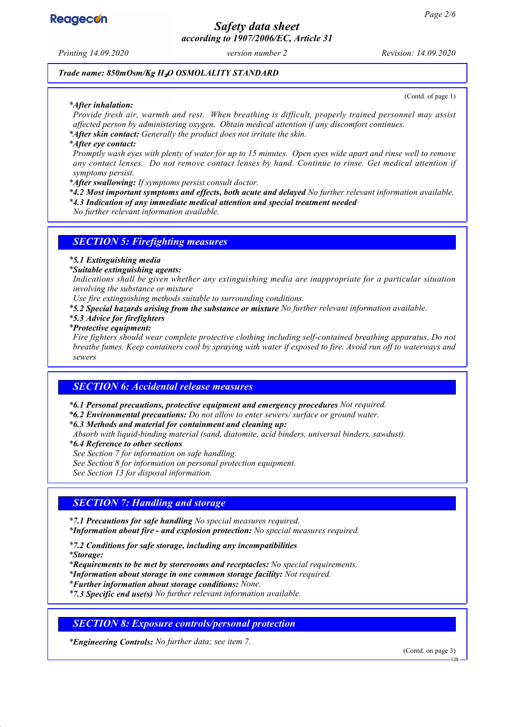

*Safety data sheet according to 1907/2006/EC, Article 31*

*Printing 14.09.2020 version number 2 Revision: 14.09.2020*

*Trade name: 850mOsm/Kg H*₂*O OSMOLALITY STANDARD*

#### *\* After inhalation:*

(Contd. of page 1)

*Provide fresh air, warmth and rest. When breathing is difficult, properly trained personnel may assist affected person by administering oxygen. Obtain medical attention if any discomfort continues. \* After skin contact: Generally the product does not irritate the skin.*

*\* After eye contact:*

*Promptly wash eyes with plenty of water for up to 15 minutes. Open eyes wide apart and rinse well to remove any contact lenses. Do not remove contact lenses by hand. Continue to rinse. Get medical attention if symptoms persist.*

*\* After swallowing: If symptoms persist consult doctor.*

*\* 4.2 Most important symptoms and effects, both acute and delayed No further relevant information available.*

*\* 4.3 Indication of any immediate medical attention and special treatment needed*

*No further relevant information available.*

### *SECTION 5: Firefighting measures*

### *\* 5.1 Extinguishing media*

*\* Suitable extinguishing agents:*

*Indications shall be given whether any extinguishing media are inappropriate for a particular situation involving the substance or mixture*

*Use fire extinguishing methods suitable to surrounding conditions.*

*\* 5.2 Special hazards arising from the substance or mixture No further relevant information available.*

*\* 5.3 Advice for firefighters*

*\* Protective equipment:*

*Fire fighters should wear complete protective clothing including self-contained breathing apparatus. Do not breathe fumes. Keep containers cool by spraying with water if exposed to fire. Avoid run off to waterways and sewers*

### *SECTION 6: Accidental release measures*

*\* 6.1 Personal precautions, protective equipment and emergency procedures Not required.*

*\* 6.2 Environmental precautions: Do not allow to enter sewers/ surface or ground water.*

*\* 6.3 Methods and material for containment and cleaning up:*

*Absorb with liquid-binding material (sand, diatomite, acid binders, universal binders, sawdust).*

*\* 6.4 Reference to other sections*

*See Section 7 for information on safe handling.*

*See Section 8 for information on personal protection equipment.*

*See Section 13 for disposal information.*

# *SECTION 7: Handling and storage*

*\* 7.1 Precautions for safe handling No special measures required.*

*\* Information about fire - and explosion protection: No special measures required.*

*\* 7.2 Conditions for safe storage, including any incompatibilities*

*\* Storage:*

*\* Requirements to be met by storerooms and receptacles: No special requirements.*

*\* Information about storage in one common storage facility: Not required.*

*\* Further information about storage conditions: None.*

*\* 7.3 Specific end use(s) No further relevant information available.*

*SECTION 8: Exposure controls/personal protection*

*\* Engineering Controls: No further data; see item 7.*

(Contd. on page 3)

GB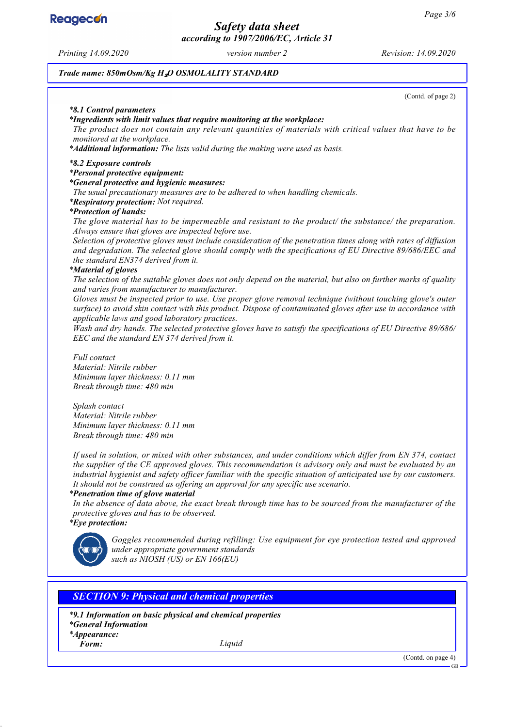**Reagecon** 

*Safety data sheet according to 1907/2006/EC, Article 31*

*Printing 14.09.2020 version number 2 Revision: 14.09.2020*

*Trade name: 850mOsm/Kg H*₂*O OSMOLALITY STANDARD*

(Contd. of page 2)

#### *\* 8.1 Control parameters*

*\* Ingredients with limit values that require monitoring at the workplace:*

*The product does not contain any relevant quantities of materials with critical values that have to be monitored at the workplace.*

*\* Additional information: The lists valid during the making were used as basis.*

#### *\* 8.2 Exposure controls*

#### *\* Personal protective equipment:*

*\* General protective and hygienic measures:*

*The usual precautionary measures are to be adhered to when handling chemicals.*

*\* Respiratory protection: Not required.*

### *\* Protection of hands:*

*The glove material has to be impermeable and resistant to the product/ the substance/ the preparation. Always ensure that gloves are inspected before use.*

*Selection of protective gloves must include consideration of the penetration times along with rates of diffusion and degradation. The selected glove should comply with the specifications of EU Directive 89/686/EEC and the standard EN374 derived from it.*

#### *\* Material of gloves*

*The selection of the suitable gloves does not only depend on the material, but also on further marks of quality and varies from manufacturer to manufacturer.*

*Gloves must be inspected prior to use. Use proper glove removal technique (without touching glove's outer surface) to avoid skin contact with this product. Dispose of contaminated gloves after use in accordance with applicable laws and good laboratory practices.*

*Wash and dry hands. The selected protective gloves have to satisfy the specifications of EU Directive 89/686/ EEC and the standard EN 374 derived from it.*

*Full contact Material: Nitrile rubber Minimum layer thickness: 0.11 mm Break through time: 480 min*

*Splash contact Material: Nitrile rubber Minimum layer thickness: 0.11 mm Break through time: 480 min*

*If used in solution, or mixed with other substances, and under conditions which differ from EN 374, contact the supplier of the CE approved gloves. This recommendation is advisory only and must be evaluated by an industrial hygienist and safety officer familiar with the specific situation of anticipated use by our customers. It should not be construed as offering an approval for any specific use scenario.*

#### *\* Penetration time of glove material*

*In the absence of data above, the exact break through time has to be sourced from the manufacturer of the protective gloves and has to be observed.*

*\* Eye protection:*



*Goggles recommended during refilling: Use equipment for eye protection tested and approved under appropriate government standards such as NIOSH (US) or EN 166(EU)*

### *SECTION 9: Physical and chemical properties*

*\* 9.1 Information on basic physical and chemical properties*

*\* General Information*

*\* Appearance:*

*Form: Liquid*

(Contd. on page 4)

GB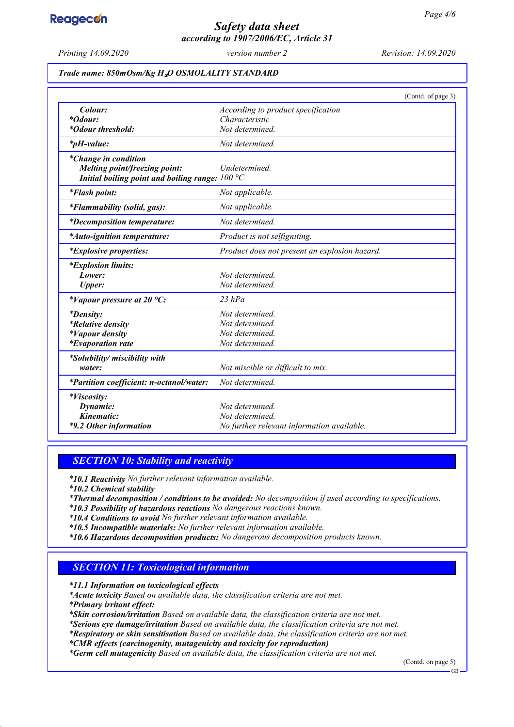

# *Safety data sheet according to 1907/2006/EC, Article 31*

*Printing 14.09.2020 version number 2 Revision: 14.09.2020*

### *Trade name: 850mOsm/Kg H*₂*O OSMOLALITY STANDARD*

|                                                         | (Contd. of page 3)                            |
|---------------------------------------------------------|-----------------------------------------------|
| Colour:                                                 | According to product specification            |
| <i>*Odour:</i>                                          | Characteristic                                |
| <i>*Odour threshold:</i>                                | Not determined.                               |
| $*_{p}H$ -value:                                        | Not determined.                               |
| *Change in condition                                    |                                               |
| Melting point/freezing point:                           | Undetermined.                                 |
| Initial boiling point and boiling range: $100\text{°C}$ |                                               |
| <i>*Flash point:</i>                                    | Not applicable.                               |
| <i>*Flammability (solid, gas):</i>                      | Not applicable.                               |
| <i>*Decomposition temperature:</i>                      | Not determined.                               |
| <i>*Auto-ignition temperature:</i>                      | Product is not selfigniting.                  |
| <i>*Explosive properties:</i>                           | Product does not present an explosion hazard. |
| <i>*Explosion limits:</i>                               |                                               |
| Lower:                                                  | Not determined.                               |
| <b>Upper:</b>                                           | Not determined.                               |
| *Vapour pressure at 20 $^{\circ}C$ :                    | $23$ hPa                                      |
| <i>*Density:</i>                                        | Not determined.                               |
| <i>*Relative density</i>                                | Not determined.                               |
| <i>*Vapour density</i>                                  | Not determined.                               |
| <i>*Evaporation rate</i>                                | Not determined.                               |
| *Solubility/ miscibility with                           |                                               |
| water:                                                  | Not miscible or difficult to mix.             |
| *Partition coefficient: n-octanol/water:                | Not determined.                               |
| <i>*Viscosity:</i>                                      |                                               |
| Dynamic:                                                | Not determined.                               |
| Kinematic:                                              | Not determined.                               |
| *9.2 Other information                                  | No further relevant information available.    |

### *SECTION 10: Stability and reactivity*

*\* 10.1 Reactivity No further relevant information available.*

*\* 10.2 Chemical stability*

*\* Thermal decomposition / conditions to be avoided: No decomposition if used according to specifications.*

- *\* 10.3 Possibility of hazardous reactions No dangerous reactions known.*
- *\* 10.4 Conditions to avoid No further relevant information available.*
- *\* 10.5 Incompatible materials: No further relevant information available.*
- *\* 10.6 Hazardous decomposition products: No dangerous decomposition products known.*

### *SECTION 11: Toxicological information*

*\* 11.1 Information on toxicological effects*

*\* Acute toxicity Based on available data, the classification criteria are not met.*

*\* Primary irritant effect:*

*\* Skin corrosion/irritation Based on available data, the classification criteria are not met.*

*\* Serious eye damage/irritation Based on available data, the classification criteria are not met.*

*\* Respiratory or skin sensitisation Based on available data, the classification criteria are not met.*

*\* CMR effects (carcinogenity, mutagenicity and toxicity for reproduction)*

*\* Germ cell mutagenicity Based on available data, the classification criteria are not met.*

(Contd. on page 5)

GB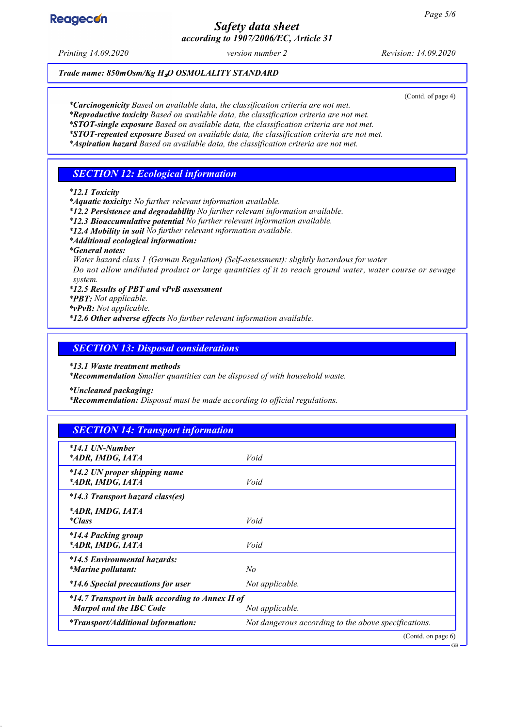# **Reagecon**

# *Safety data sheet according to 1907/2006/EC, Article 31*

*Printing 14.09.2020 version number 2 Revision: 14.09.2020*

### *Trade name: 850mOsm/Kg H*₂*O OSMOLALITY STANDARD*

(Contd. of page 4)

*\* Carcinogenicity Based on available data, the classification criteria are not met.*

*\* Reproductive toxicity Based on available data, the classification criteria are not met.*

*\* STOT-single exposure Based on available data, the classification criteria are not met. \* STOT-repeated exposure Based on available data, the classification criteria are not met.*

*\* Aspiration hazard Based on available data, the classification criteria are not met.*

## *SECTION 12: Ecological information*

*\* 12.1 Toxicity*

*\* Aquatic toxicity: No further relevant information available.*

*\* 12.2 Persistence and degradability No further relevant information available.*

*\* 12.3 Bioaccumulative potential No further relevant information available.*

*\* 12.4 Mobility in soil No further relevant information available.*

*\* Additional ecological information:*

*\* General notes:*

*Water hazard class 1 (German Regulation) (Self-assessment): slightly hazardous for water Do not allow undiluted product or large quantities of it to reach ground water, water course or sewage system.*

*\* 12.5 Results of PBT and vPvB assessment*

*\* PBT: Not applicable.*

*\* vPvB: Not applicable.*

*\* 12.6 Other adverse effects No further relevant information available.*

### *SECTION 13: Disposal considerations*

*\* 13.1 Waste treatment methods*

*\* Recommendation Smaller quantities can be disposed of with household waste.*

*\* Uncleaned packaging:*

*\* Recommendation: Disposal must be made according to official regulations.*

| <b>SECTION 14: Transport information</b>                                           |                                                      |
|------------------------------------------------------------------------------------|------------------------------------------------------|
| *14.1 UN-Number<br>*ADR, IMDG, IATA                                                | Void                                                 |
| *14.2 UN proper shipping name<br>*ADR, IMDG, IATA                                  | Void                                                 |
| *14.3 Transport hazard class(es)                                                   |                                                      |
| *ADR, IMDG, IATA<br><i>*Class</i>                                                  | Void                                                 |
| <i>*14.4 Packing group</i><br>*ADR, IMDG, IATA                                     | Void                                                 |
| *14.5 Environmental hazards:<br><i>*Marine pollutant:</i>                          | N <sub>o</sub>                                       |
| *14.6 Special precautions for user                                                 | Not applicable.                                      |
| *14.7 Transport in bulk according to Annex II of<br><b>Marpol and the IBC Code</b> | Not applicable.                                      |
| <i>*Transport/Additional information:</i>                                          | Not dangerous according to the above specifications. |
|                                                                                    | (Contd. on page 6)                                   |